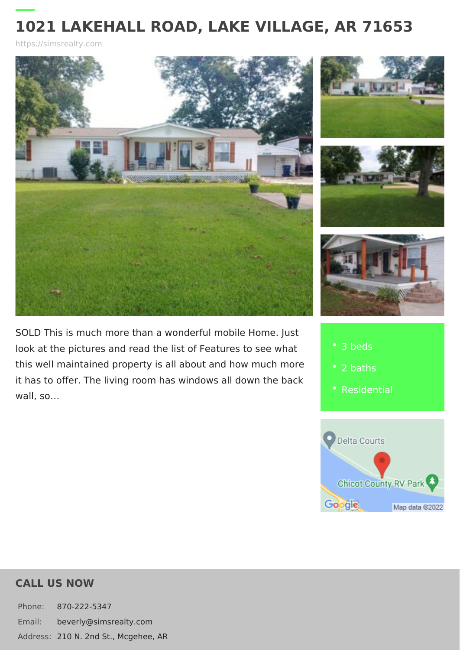https://simsrealty.com

SOLD This is much more than a wonderful mob look at the pictures and read the list of Featu this well maintained property is all about and it has to offer. The living room has windows a wall, so &

- 3 beds
	-
- [Residen](https://simsrealty.com/es_type/residential/)tial

CALL US NOW

Phone: 870-222-5347 Email: beverly@simsrealty.com Addres 2:10 N. 2nd St., Mcgehee, AR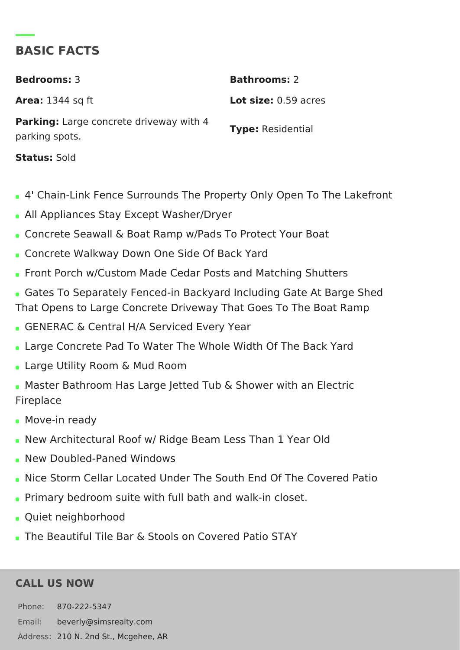## BASIC FACTS

Bedrooms3 Bathrooms2 Area: 1344 sq ft Lot size 0.59 acres Parking Large concrete driveway with 4<br>Type Residential parking spots. **StatusSold** 

- 4' Chain-Link Fence Surrounds The Property Only Open To T
- All Appliances Stay Except Washer/Dryer
- Concrete Seawall & Boat Ramp w/Pads To Protect Your Boat
- Concrete Walkway Down One Side Of Back Yard
- Front Porch w/Custom Made Cedar Posts and Matching Shutt
- Gates To Separately Fenced-in Backyard Including Gate At E That Opens to Large Concrete Driveway That Goes To The Bo
- GENERAC & Central H/A Serviced Every Year
- Large Concrete Pad To Water The Whole Width Of The Back
- Large Utility Room & Mud Room
- . Master Bathroom Has Large Jetted Tub & Shower with an Ele Fireplace
- Move-in ready
- . New Architectural Roof w/ Ridge Beam Less Than 1 Year Old
- New Doubled-Paned Windows
- . Nice Storm Cellar Located Under The South End Of The Cove
- Primary bedroom suite with full bath and walk-in closet.
- Quiet neighborhood
- The Beautiful Tile Bar & Stools on Covered Patio STAY

## CALL US NOW

Phone: 870-222-5347 Email: beverly@simsrealty.com Addres 2:10 N. 2nd St., Mcgehee, AR